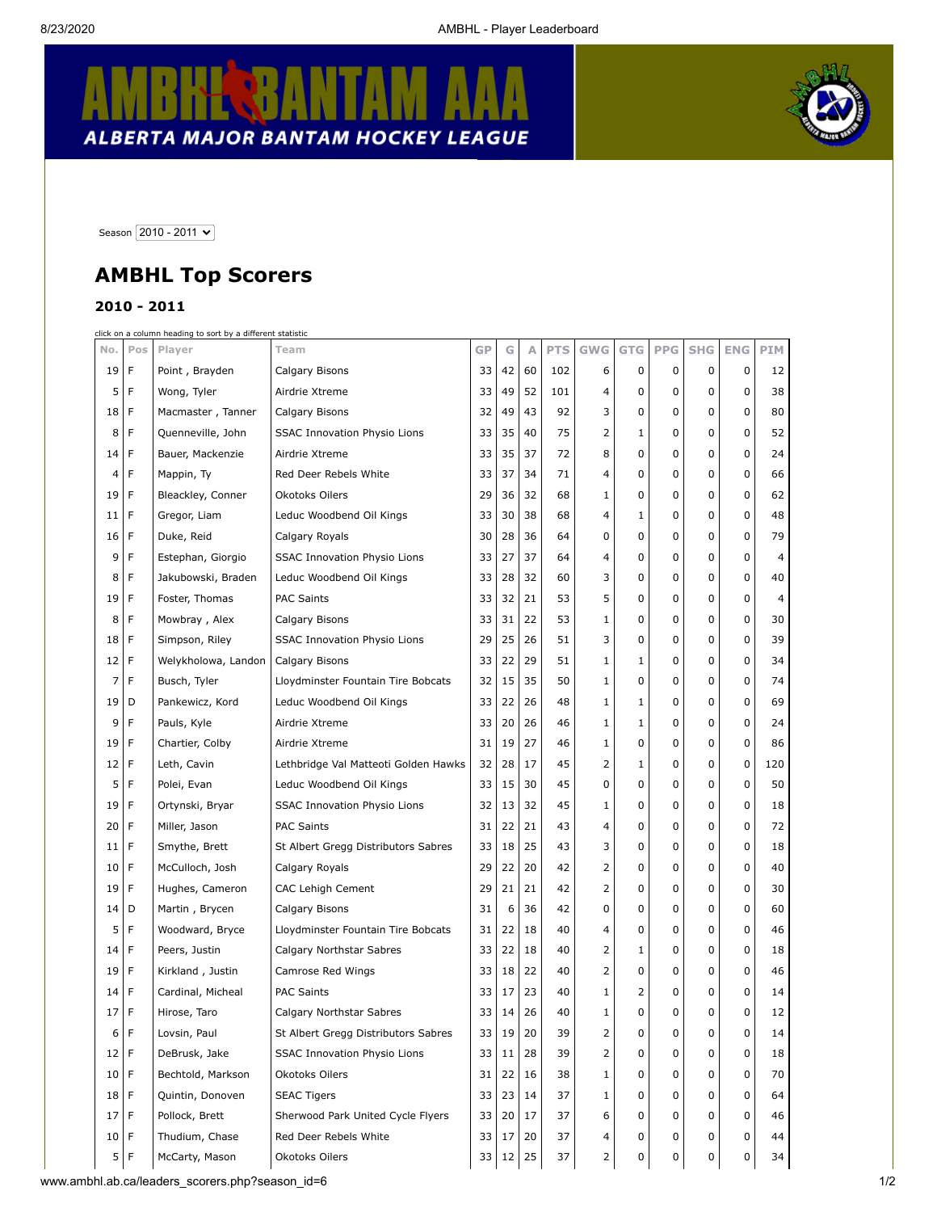## **REAN ALBERTA MAJOR BANTAM HOCKEY LEAGUE**



Season  $\boxed{2010 - 2011 \times}$ 

## **AMBHL Top Scorers**

## **2010 - 2011**

|        | click on a column heading to sort by a different statistic |                     |                                      |    |    |              |            |                |              |            |            |             |                |  |
|--------|------------------------------------------------------------|---------------------|--------------------------------------|----|----|--------------|------------|----------------|--------------|------------|------------|-------------|----------------|--|
| No.    | Pos                                                        | Player              | Team                                 | GP | G  | Α            | <b>PTS</b> | <b>GWG</b>     | <b>GTG</b>   | <b>PPG</b> | <b>SHG</b> | <b>ENG</b>  | <b>PIM</b>     |  |
| 19     | F                                                          | Point, Brayden      | Calgary Bisons                       | 33 | 42 | 60           | 102        | 6              | 0            | 0          | 0          | 0           | 12             |  |
| 5      | F                                                          | Wong, Tyler         | Airdrie Xtreme                       | 33 | 49 | 52           | 101        | 4              | 0            | 0          | 0          | 0           | 38             |  |
| 18     | F                                                          | Macmaster, Tanner   | Calgary Bisons                       | 32 | 49 | 43           | 92         | 3              | 0            | 0          | 0          | 0           | 80             |  |
| 8      | F                                                          | Quenneville, John   | <b>SSAC Innovation Physio Lions</b>  | 33 | 35 | 40           | 75         | 2              | $\mathbf{1}$ | 0          | 0          | 0           | 52             |  |
| 14     | F                                                          | Bauer, Mackenzie    | Airdrie Xtreme                       | 33 | 35 | 37           | 72         | 8              | 0            | 0          | 0          | 0           | 24             |  |
| 4      | F                                                          | Mappin, Ty          | Red Deer Rebels White                | 33 | 37 | 34           | 71         | 4              | 0            | 0          | 0          | 0           | 66             |  |
| 19     | F                                                          | Bleackley, Conner   | Okotoks Oilers                       | 29 | 36 | 32           | 68         | $\mathbf{1}$   | 0            | 0          | 0          | 0           | 62             |  |
| 11     | F                                                          | Gregor, Liam        | Leduc Woodbend Oil Kings             | 33 | 30 | 38           | 68         | 4              | 1            | 0          | 0          | 0           | 48             |  |
| 16     | F                                                          | Duke, Reid          | Calgary Royals                       | 30 | 28 | 36           | 64         | 0              | 0            | 0          | 0          | 0           | 79             |  |
| 9      | F                                                          | Estephan, Giorgio   | SSAC Innovation Physio Lions         | 33 | 27 | 37           | 64         | 4              | 0            | 0          | 0          | 0           | 4              |  |
| 8      | F                                                          | Jakubowski, Braden  | Leduc Woodbend Oil Kings             | 33 | 28 | 32           | 60         | 3              | 0            | 0          | 0          | 0           | 40             |  |
| 19     | F                                                          | Foster, Thomas      | <b>PAC Saints</b>                    | 33 | 32 | 21           | 53         | 5              | 0            | 0          | 0          | 0           | $\overline{4}$ |  |
| 8      | F                                                          | Mowbray, Alex       | Calgary Bisons                       | 33 | 31 | 22           | 53         | $\mathbf{1}$   | 0            | 0          | 0          | 0           | 30             |  |
| 18     | F                                                          | Simpson, Riley      | <b>SSAC Innovation Physio Lions</b>  | 29 | 25 | 26           | 51         | 3              | 0            | 0          | 0          | 0           | 39             |  |
| 12     | F                                                          | Welykholowa, Landon | Calgary Bisons                       | 33 | 22 | 29           | 51         | $\mathbf{1}$   | 1            | 0          | 0          | $\mathbf 0$ | 34             |  |
| 7      | F                                                          | Busch, Tyler        | Lloydminster Fountain Tire Bobcats   | 32 | 15 | 35           | 50         | $\mathbf{1}$   | 0            | 0          | 0          | 0           | 74             |  |
| 19     | D                                                          | Pankewicz, Kord     | Leduc Woodbend Oil Kings             | 33 | 22 | 26           | 48         | $\mathbf{1}$   | 1            | 0          | 0          | 0           | 69             |  |
| 9      | F                                                          | Pauls, Kyle         | Airdrie Xtreme                       | 33 | 20 | 26           | 46         | $\mathbf{1}$   | $\mathbf{1}$ | 0          | 0          | 0           | 24             |  |
| 19     | F                                                          | Chartier, Colby     | Airdrie Xtreme                       | 31 | 19 | 27           | 46         | $\mathbf{1}$   | 0            | 0          | 0          | $\mathbf 0$ | 86             |  |
| 12     | F                                                          | Leth, Cavin         | Lethbridge Val Matteoti Golden Hawks | 32 | 28 | 17           | 45         | 2              | 1            | 0          | 0          | $\mathbf 0$ | 120            |  |
| 5      | F                                                          | Polei, Evan         | Leduc Woodbend Oil Kings             | 33 | 15 | 30           | 45         | 0              | 0            | 0          | 0          | $\mathbf 0$ | 50             |  |
| 19     | F                                                          | Ortynski, Bryar     | <b>SSAC Innovation Physio Lions</b>  | 32 | 13 | 32           | 45         | $\mathbf{1}$   | 0            | 0          | 0          | 0           | 18             |  |
| 20     | F                                                          | Miller, Jason       | <b>PAC Saints</b>                    | 31 | 22 | 21           | 43         | 4              | 0            | 0          | 0          | $\mathbf 0$ | 72             |  |
| 11     | F                                                          | Smythe, Brett       | St Albert Gregg Distributors Sabres  | 33 | 18 | 25           | 43         | 3              | 0            | 0          | 0          | 0           | 18             |  |
| 10     | F                                                          | McCulloch, Josh     | Calgary Royals                       | 29 | 22 | 20           | 42         | 2              | 0            | 0          | 0          | 0           | 40             |  |
| 19     | F                                                          | Hughes, Cameron     | <b>CAC Lehigh Cement</b>             | 29 | 21 | 21           | 42         | $\overline{2}$ | 0            | 0          | 0          | 0           | 30             |  |
| 14     | D                                                          | Martin, Brycen      | Calgary Bisons                       | 31 | 6  | 36           | 42         | 0              | 0            | 0          | 0          | $\mathbf 0$ | 60             |  |
| 5      | F                                                          | Woodward, Bryce     | Lloydminster Fountain Tire Bobcats   | 31 | 22 | 18           | 40         | 4              | 0            | 0          | 0          | $\mathbf 0$ | 46             |  |
| 14     | F                                                          | Peers, Justin       | Calgary Northstar Sabres             | 33 | 22 | 18           | 40         | 2              | 1            | 0          | 0          | 0           | 18             |  |
| 19     | F                                                          | Kirkland, Justin    | Camrose Red Wings                    | 33 | 18 | 22           | 40         | 2              | 0            | 0          | 0          | 0           | 46             |  |
| 14     | F                                                          | Cardinal, Micheal   | <b>PAC Saints</b>                    | 33 | 17 | 23           | 40         | $\mathbf{1}$   | 2            | 0          | 0          | 0           | 14             |  |
| 17 F   |                                                            | Hirose, Taro        | Calgary Northstar Sabres             | 33 | 14 | 26           | 40         | $\mathbf{1}$   | 0            | 0          | 0          | 0           | 12             |  |
| 6      | F                                                          | Lovsin, Paul        | St Albert Gregg Distributors Sabres  | 33 | 19 | 20           | 39         | 2              | 0            | 0          | 0          | 0           | 14             |  |
| 12   F |                                                            | DeBrusk, Jake       | <b>SSAC Innovation Physio Lions</b>  | 33 | 11 | 28           | 39         | 2              | 0            | 0          | 0          | 0           | 18             |  |
| 10     | F                                                          | Bechtold, Markson   | Okotoks Oilers                       | 31 | 22 | 16           | 38         | $\mathbf{1}$   | 0            | 0          | 0          | 0           | 70             |  |
| 18 F   |                                                            | Quintin, Donoven    | SEAC Tigers                          | 33 | 23 | 14           | 37         | 1              | 0            | 0          | 0          | 0           | 64             |  |
| 17     | F                                                          | Pollock, Brett      | Sherwood Park United Cycle Flyers    | 33 | 20 | 17           | 37         | 6              | 0            | 0          | 0          | 0           | 46             |  |
| $10$ F |                                                            | Thudium, Chase      | Red Deer Rebels White                | 33 | 17 | 20           | 37         | 4              | 0            | 0          | 0          | 0           | 44             |  |
|        | 5 F                                                        | McCarty, Mason      | Okotoks Oilers                       | 33 |    | $12 \mid 25$ | 37         | 2              | 0            | 0          | 0          | 0           | 34             |  |
|        |                                                            |                     |                                      |    |    |              |            |                |              |            |            |             |                |  |

www.ambhl.ab.ca/leaders\_scorers.php?season\_id=6 1/2